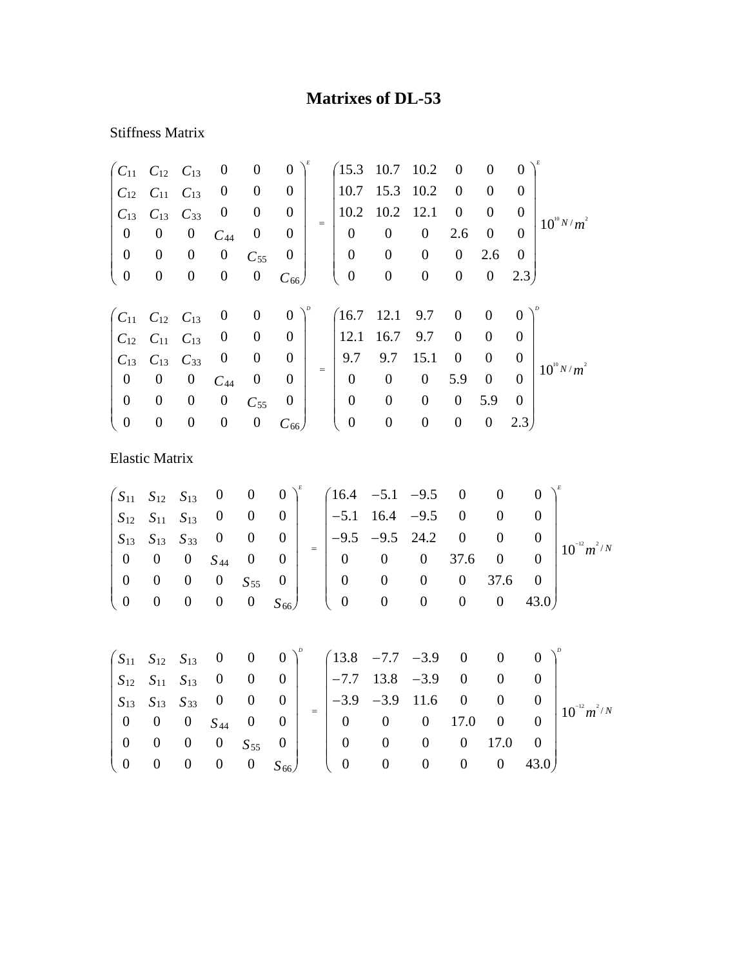## **Matrixes of DL-53**

## Stiffness Matrix

|                                                          | $C_{11}$ $C_{12}$ $C_{13}$ |                  | $\boldsymbol{0}$ | $\boldsymbol{0}$ | $\boldsymbol{0}$ |     | (15.3)           | 10.7 10.2        |                  | $\boldsymbol{0}$ | $\boldsymbol{0}$ | $\theta$       |                 |
|----------------------------------------------------------|----------------------------|------------------|------------------|------------------|------------------|-----|------------------|------------------|------------------|------------------|------------------|----------------|-----------------|
| $C_{12}$                                                 | $C_{11}$                   | $C_{13}$         | $\boldsymbol{0}$ | $\boldsymbol{0}$ | $\boldsymbol{0}$ |     | 10.7             | 15.3             | 10.2             | $\boldsymbol{0}$ | $\overline{0}$   | $\Omega$       |                 |
| $C_{13}$                                                 | $C_{13}$                   | $C_{33}$         | $\boldsymbol{0}$ | $\theta$         | $\theta$         |     | 10.2             | 10.2             | 12.1             | $\boldsymbol{0}$ | $\overline{0}$   | $\theta$       | $10^{10} N/m^2$ |
| $\boldsymbol{0}$                                         | $\boldsymbol{0}$           | $\boldsymbol{0}$ | $C_{44}$         | $\boldsymbol{0}$ | $\boldsymbol{0}$ | $=$ | $\boldsymbol{0}$ | $\boldsymbol{0}$ | $\boldsymbol{0}$ | 2.6              | $\boldsymbol{0}$ | $\overline{0}$ |                 |
| $\boldsymbol{0}$                                         | $\boldsymbol{0}$           | $\boldsymbol{0}$ | $\boldsymbol{0}$ | $C_{55}$         | $\boldsymbol{0}$ |     | $\boldsymbol{0}$ | $\boldsymbol{0}$ | $\boldsymbol{0}$ | $\boldsymbol{0}$ | 2.6              | $\theta$       |                 |
| $\boldsymbol{0}$                                         | $\boldsymbol{0}$           | $\overline{0}$   | $\boldsymbol{0}$ | $\boldsymbol{0}$ | $C_{66}$         |     | $\boldsymbol{0}$ | $\boldsymbol{0}$ | $\boldsymbol{0}$ | $\boldsymbol{0}$ | $\boldsymbol{0}$ | 2.3            |                 |
|                                                          |                            |                  |                  |                  |                  |     |                  |                  |                  |                  |                  |                |                 |
| $\begin{pmatrix} C_{11} & C_{12} & C_{13} \end{pmatrix}$ |                            |                  | $\boldsymbol{0}$ | $\boldsymbol{0}$ | $\overline{0}$   |     | (16.7)           | 12.1             | 9.7              | $\overline{0}$   | $\boldsymbol{0}$ | $\theta$       |                 |
|                                                          | $C_{12}$ $C_{11}$          | $C_{13}$         | $\boldsymbol{0}$ | $\boldsymbol{0}$ | $\boldsymbol{0}$ |     | 12.1             | 16.7             | 9.7              | $\theta$         | $\overline{0}$   | $\Omega$       |                 |
| $C_{13}$                                                 | $C_{13}$                   | $C_{33}$         | $\boldsymbol{0}$ | $\boldsymbol{0}$ | $\boldsymbol{0}$ |     | 9.7              | 9.7              | 15.1             | $\theta$         | $\overline{0}$   | $\theta$       | $10^{10} N/m^2$ |
| $\boldsymbol{0}$                                         | $\boldsymbol{0}$           | $\boldsymbol{0}$ | $C_{44}$         | $\boldsymbol{0}$ | $\boldsymbol{0}$ | $=$ | $\overline{0}$   | $\boldsymbol{0}$ | $\boldsymbol{0}$ | 5.9              | $\boldsymbol{0}$ | $\Omega$       |                 |
| $\boldsymbol{0}$                                         | $\boldsymbol{0}$           | $\boldsymbol{0}$ | $\boldsymbol{0}$ | $C_{55}$         | $\boldsymbol{0}$ |     | $\boldsymbol{0}$ | $\boldsymbol{0}$ | $\overline{0}$   | $\boldsymbol{0}$ | 5.9              | $\Omega$       |                 |
| $\boldsymbol{0}$                                         | $\boldsymbol{0}$           | $\boldsymbol{0}$ | $\boldsymbol{0}$ | $\boldsymbol{0}$ | $C_{66}$         |     | $\boldsymbol{0}$ | $\boldsymbol{0}$ | $\boldsymbol{0}$ | $\boldsymbol{0}$ | $\boldsymbol{0}$ | 2.3)           |                 |
| <b>Elastic Matrix</b>                                    |                            |                  |                  |                  |                  |     |                  |                  |                  |                  |                  |                |                 |

 $m^2/N$  $S_{66}$ *S S*  $S_{13}$   $S_{13}$  *S*  $S_{12}$   $S_{11}$  *S*  $S_{11}$   $S_{12}$   $S_{13}$  0 0 0  $\big)^{\epsilon}$  (16.4 -5.1 -9.5 0 0 0  $\big)^{\epsilon}$ / 55 44 13  $\lambda$ 13  $\lambda$ 33  $12$   $\lambda$ 11  $\lambda$ 13  $11 \quad S_{12} \quad S_{13}$  $10^{-12} m^2$ 0 0 0 0 0 43.0 0 0 0 0 37.6 0 0 0 0 37.6 0 0  $9.5$   $-9.5$   $24.2$  0 0 0  $5.1$   $16.4$   $-9.5$  0 0 0  $16.4$   $-5.1$   $-9.5$  0 0 0 0 0 0 0 0  $0 \t 0 \t 0 \t 0 \t S_{55} \t 0$  $0 \t 0 \t 0 \t S_{44} \t 0 \t 0$ 0 0 0 0 0 0 0 0 0 −  $\int$  $\overline{\phantom{a}}$  $\overline{\phantom{a}}$  $\overline{\phantom{a}}$  $\overline{\phantom{a}}$  $\overline{\phantom{a}}$  $\overline{\phantom{a}}$ ⎟ ⎞  $\overline{\mathcal{K}}$  $\overline{\phantom{a}}$  $\overline{a}$  $\overline{a}$  $\overline{a}$  $\overline{a}$  $\overline{a}$  $\int$  $-9.5 -5.1$  16.4  $-5.1 \overline{\phantom{a}}$  $\overline{\phantom{a}}$  $\overline{\phantom{a}}$  $\overline{\phantom{a}}$  $\overline{\phantom{a}}$  $\overline{\phantom{a}}$ ⎟ ⎞  $\overline{\mathcal{K}}$  $\overline{\phantom{a}}$  $\overline{a}$  $\overline{a}$  $\overline{a}$  $\overline{a}$  $\overline{a}$  $\int$ =  $S_{11}$   $S_{12}$   $S_{13}$  0 0 0  $\big)^{\circ}$   $\begin{pmatrix} 13.8 & -7.7 & -3.9 & 0 & 0 & 0 \end{pmatrix}^{\circ}$  $\begin{pmatrix} 13.8 & -7.7 & -3.9 & 0 & 0 & 0 \ 0 & 0 & 0 & 0 & 0 \end{pmatrix}$  $\left(S_{11} \quad S_{12} \quad S_{13} \quad 0 \quad 0 \quad 0 \right)$ 

|  |  |  |  | $S_{12}$ $S_{11}$ $S_{13}$ 0 0 0 $\Big $ $\Big $ -7.7 13.8 -3.9 0 0 0 $\Big $                                                                                                         |  |  |                                                     |
|--|--|--|--|---------------------------------------------------------------------------------------------------------------------------------------------------------------------------------------|--|--|-----------------------------------------------------|
|  |  |  |  |                                                                                                                                                                                       |  |  | $\begin{array}{c c} 0 & 10^{-12} m^2/N \end{array}$ |
|  |  |  |  | $\begin{vmatrix} S_{13} & S_{13} & S_{33} & 0 & 0 & 0 \ 0 & 0 & 0 & S_{44} & 0 & 0 \end{vmatrix}$ = $\begin{vmatrix} -3.9 & -3.9 & 11.6 & 0 & 0 \ 0 & 0 & 0 & 17.0 & 0 \end{vmatrix}$ |  |  |                                                     |
|  |  |  |  |                                                                                                                                                                                       |  |  |                                                     |
|  |  |  |  | $\begin{bmatrix} 0 & 0 & 0 & 0 & S_{55} & 0 \ 0 & 0 & 0 & 0 & 0 & S_{66} \end{bmatrix}$ $\begin{bmatrix} 0 & 0 & 0 & 0 & 17.0 & 0 \ 0 & 0 & 0 & 0 & 43.0 \end{bmatrix}$               |  |  |                                                     |
|  |  |  |  |                                                                                                                                                                                       |  |  |                                                     |